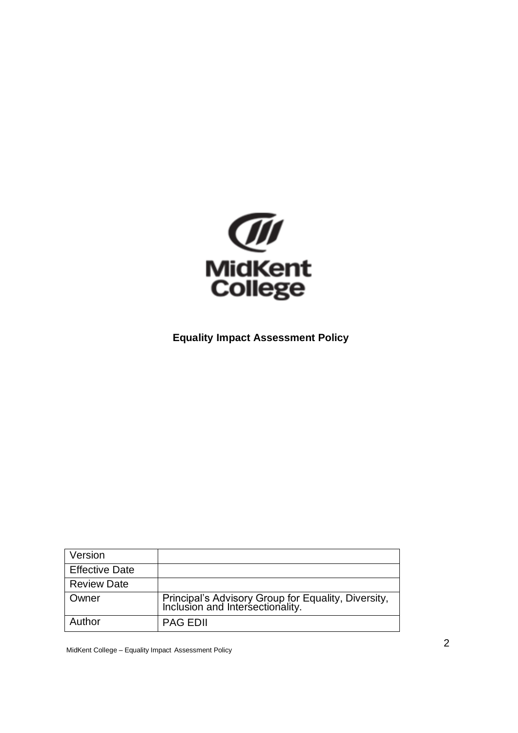

### <span id="page-0-0"></span>**Equality Impact Assessment Policy**

| Version               |                                                                                      |
|-----------------------|--------------------------------------------------------------------------------------|
| <b>Effective Date</b> |                                                                                      |
| <b>Review Date</b>    |                                                                                      |
| Owner                 | Principal's Advisory Group for Equality, Diversity, Inclusion and Intersectionality. |
| Author                | <b>PAG EDII</b>                                                                      |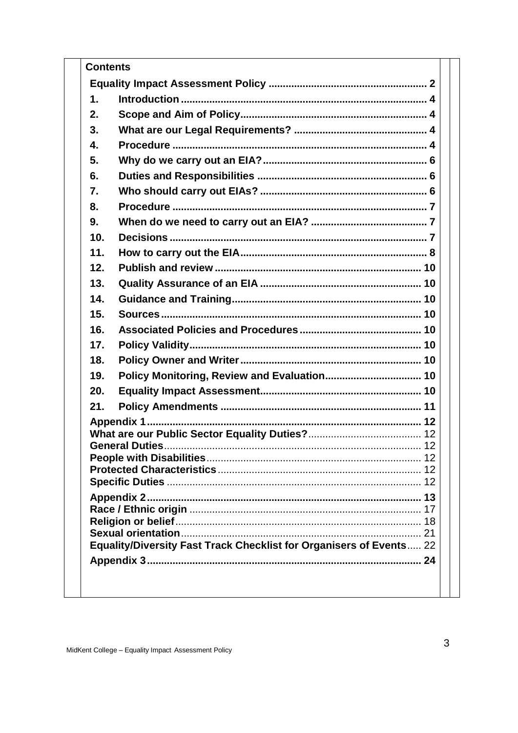| <b>Contents</b> |                                                                     |  |  |
|-----------------|---------------------------------------------------------------------|--|--|
|                 |                                                                     |  |  |
|                 | 1.                                                                  |  |  |
|                 | 2.                                                                  |  |  |
|                 | 3.                                                                  |  |  |
|                 | 4.                                                                  |  |  |
|                 | 5.                                                                  |  |  |
|                 | 6.                                                                  |  |  |
|                 | 7.                                                                  |  |  |
|                 | 8.                                                                  |  |  |
|                 | 9.                                                                  |  |  |
|                 | 10.                                                                 |  |  |
|                 | 11.                                                                 |  |  |
|                 | 12.                                                                 |  |  |
|                 | 13.                                                                 |  |  |
|                 | 14.                                                                 |  |  |
|                 | 15.                                                                 |  |  |
|                 | 16.                                                                 |  |  |
|                 | 17.                                                                 |  |  |
|                 | 18.                                                                 |  |  |
|                 | 19.                                                                 |  |  |
|                 | 20.                                                                 |  |  |
|                 | 21.                                                                 |  |  |
|                 |                                                                     |  |  |
|                 |                                                                     |  |  |
|                 |                                                                     |  |  |
|                 |                                                                     |  |  |
|                 |                                                                     |  |  |
|                 |                                                                     |  |  |
|                 |                                                                     |  |  |
|                 |                                                                     |  |  |
|                 | Equality/Diversity Fast Track Checklist for Organisers of Events 22 |  |  |
|                 |                                                                     |  |  |
|                 |                                                                     |  |  |
|                 |                                                                     |  |  |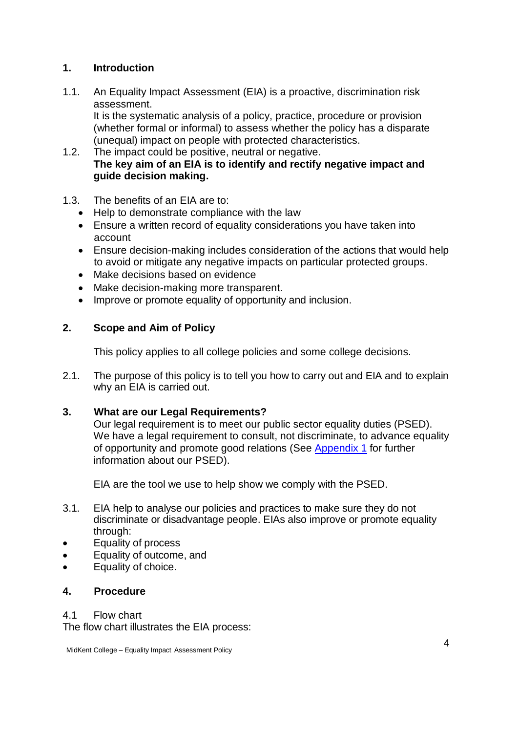### <span id="page-2-0"></span>**1. Introduction**

1.1. An Equality Impact Assessment (EIA) is a proactive, discrimination risk assessment.

It is the systematic analysis of a policy, practice, procedure or provision (whether formal or informal) to assess whether the policy has a disparate (unequal) impact on people with protected characteristics.

- 1.2. The impact could be positive, neutral or negative. **The key aim of an EIA is to identify and rectify negative impact and guide decision making.**
- 1.3. The benefits of an EIA are to:
	- Help to demonstrate compliance with the law
	- Ensure a written record of equality considerations you have taken into account
	- Ensure decision-making includes consideration of the actions that would help to avoid or mitigate any negative impacts on particular protected groups.
	- Make decisions based on evidence
	- Make decision-making more transparent.
	- Improve or promote equality of opportunity and inclusion.

### <span id="page-2-1"></span>**2. Scope and Aim of Policy**

This policy applies to all college policies and some college decisions.

2.1. The purpose of this policy is to tell you how to carry out and EIA and to explain why an EIA is carried out.

#### <span id="page-2-2"></span>**3. What are our Legal Requirements?**

Our legal requirement is to meet our public sector equality duties (PSED). We have a legal requirement to consult, not discriminate, to advance equality of opportunity and promote good relations (See [Appendix 1](#page-9-1) for further information about our PSED).

EIA are the tool we use to help show we comply with the PSED.

- 3.1. EIA help to analyse our policies and practices to make sure they do not discriminate or disadvantage people. EIAs also improve or promote equality through:
- Equality of process
- Equality of outcome, and
- Equality of choice.

#### <span id="page-2-3"></span>**4. Procedure**

4.1 Flow chart

The flow chart illustrates the EIA process: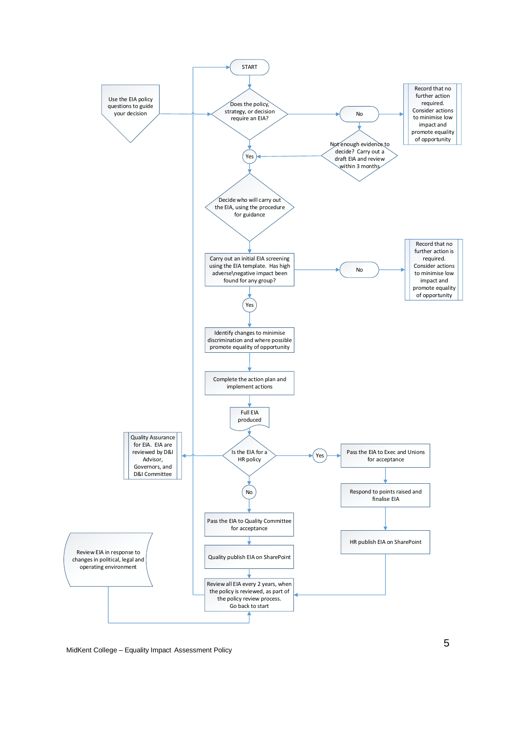

MidKe n t College – Equality Impact Assessment Policy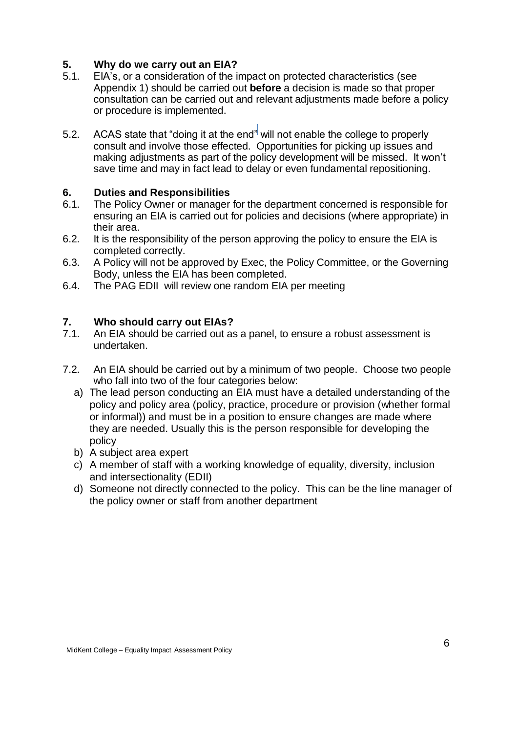### <span id="page-4-0"></span>**5. Why do we carry out an EIA?**

- 5.1. EIA's, or a consideration of the impact on protected characteristics (see Appendix 1) should be carried out **before** a decision is made so that proper consultation can be carried out and relevant adjustments made before a policy or procedure is implemented.
- 5.2. ACAS state that "doing it at the end" will not enable the college to properly consult and involve those effected. Opportunities for picking up issues and making adjustments as part of the policy development will be missed. It won't save time and may in fact lead to delay or even fundamental repositioning.

### <span id="page-4-1"></span>**6. Duties and Responsibilities**

- 6.1. The Policy Owner or manager for the department concerned is responsible for ensuring an EIA is carried out for policies and decisions (where appropriate) in their area.
- 6.2. It is the responsibility of the person approving the policy to ensure the EIA is completed correctly.
- 6.3. A Policy will not be approved by Exec, the Policy Committee, or the Governing Body, unless the EIA has been completed.
- 6.4. The PAG EDII will review one random EIA per meeting

#### <span id="page-4-2"></span>**7. Who should carry out EIAs?**

- 7.1. An EIA should be carried out as a panel, to ensure a robust assessment is undertaken.
- 7.2. An EIA should be carried out by a minimum of two people. Choose two people who fall into two of the four categories below:
	- a) The lead person conducting an EIA must have a detailed understanding of the policy and policy area (policy, practice, procedure or provision (whether formal or informal)) and must be in a position to ensure changes are made where they are needed. Usually this is the person responsible for developing the policy
	- b) A subject area expert
	- c) A member of staff with a working knowledge of equality, diversity, inclusion and intersectionality (EDII)
	- d) Someone not directly connected to the policy. This can be the line manager of the policy owner or staff from another department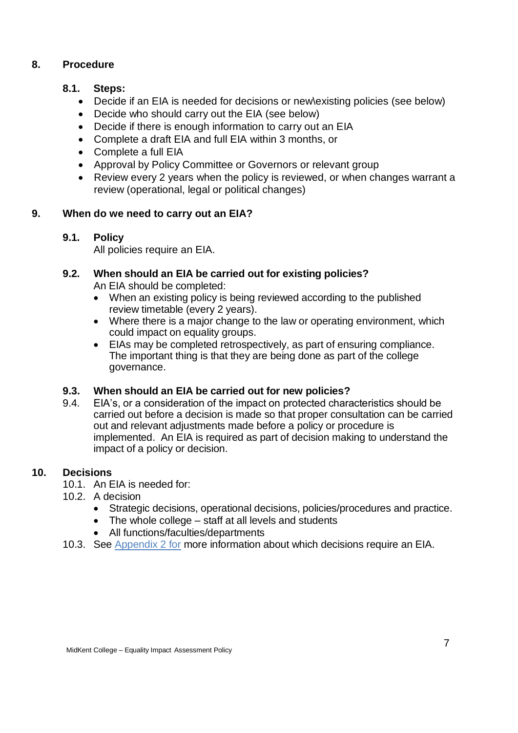### <span id="page-5-0"></span>**8. Procedure**

### **8.1. Steps:**

- Decide if an EIA is needed for decisions or new\existing policies (see below)
- Decide who should carry out the EIA (see below)
- Decide if there is enough information to carry out an EIA
- Complete a draft EIA and full EIA within 3 months, or
- Complete a full EIA
- Approval by Policy Committee or Governors or relevant group
- Review every 2 years when the policy is reviewed, or when changes warrant a review (operational, legal or political changes)

# **9. When do we need to carry out an EIA?**

# <span id="page-5-1"></span>**9.1. Policy**

All policies require an EIA.

# **9.2. When should an EIA be carried out for existing policies?**

An EIA should be completed:

- When an existing policy is being reviewed according to the published review timetable (every 2 years).
- Where there is a major change to the law or operating environment, which could impact on equality groups.
- EIAs may be completed retrospectively, as part of ensuring compliance. The important thing is that they are being done as part of the college governance.

# **9.3. When should an EIA be carried out for new policies?**

9.4. EIA's, or a consideration of the impact on protected characteristics should be carried out before a decision is made so that proper consultation can be carried out and relevant adjustments made before a policy or procedure is implemented. An EIA is required as part of decision making to understand the impact of a policy or decision.

# **10. Decisions**

- <span id="page-5-2"></span>10.1. An EIA is needed for:
- 10.2. A decision
	- Strategic decisions, operational decisions, policies/procedures and practice.
	- The whole college staff at all levels and students
	- All functions/faculties/departments
- 10.3. See [Appendix 2](#page-11-0) for more information about which decisions require an EIA.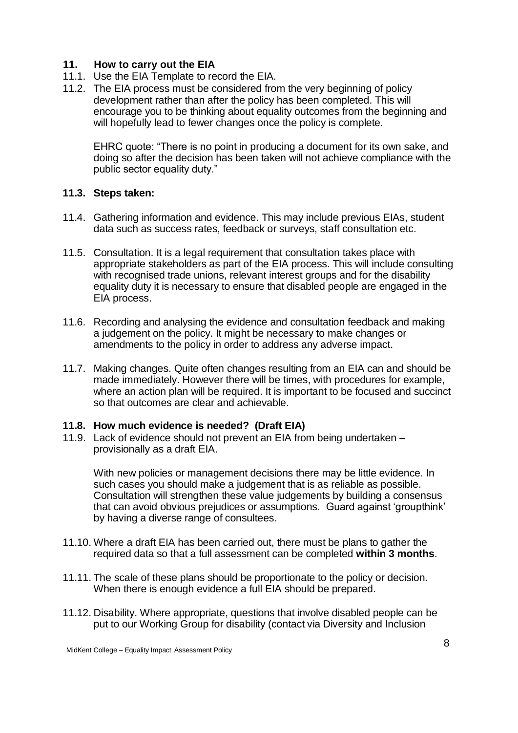#### <span id="page-6-0"></span>**11. How to carry out the EIA**

- 11.1. Use the EIA Template to record the EIA.
- 11.2. The EIA process must be considered from the very beginning of policy development rather than after the policy has been completed. This will encourage you to be thinking about equality outcomes from the beginning and will hopefully lead to fewer changes once the policy is complete.

EHRC quote: "There is no point in producing a document for its own sake, and doing so after the decision has been taken will not achieve compliance with the public sector equality duty."

#### **11.3. Steps taken:**

- 11.4. Gathering information and evidence. This may include previous EIAs, student data such as success rates, feedback or surveys, staff consultation etc.
- 11.5. Consultation. It is a legal requirement that consultation takes place with appropriate stakeholders as part of the EIA process. This will include consulting with recognised trade unions, relevant interest groups and for the disability equality duty it is necessary to ensure that disabled people are engaged in the EIA process.
- 11.6. Recording and analysing the evidence and consultation feedback and making a judgement on the policy. It might be necessary to make changes or amendments to the policy in order to address any adverse impact.
- 11.7. Making changes. Quite often changes resulting from an EIA can and should be made immediately. However there will be times, with procedures for example, where an action plan will be required. It is important to be focused and succinct so that outcomes are clear and achievable.

#### **11.8. How much evidence is needed? (Draft EIA)**

11.9. Lack of evidence should not prevent an EIA from being undertaken – provisionally as a draft EIA.

With new policies or management decisions there may be little evidence. In such cases you should make a judgement that is as reliable as possible. Consultation will strengthen these value judgements by building a consensus that can avoid obvious prejudices or assumptions. Guard against 'groupthink' by having a diverse range of consultees.

- 11.10. Where a draft EIA has been carried out, there must be plans to gather the required data so that a full assessment can be completed **within 3 months**.
- 11.11. The scale of these plans should be proportionate to the policy or decision. When there is enough evidence a full EIA should be prepared.
- 11.12. Disability. Where appropriate, questions that involve disabled people can be put to our Working Group for disability (contact via Diversity and Inclusion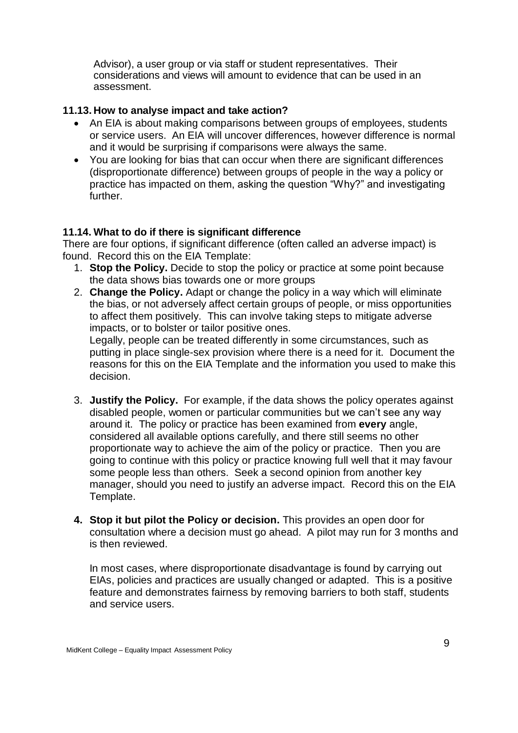Advisor), a user group or via staff or student representatives. Their considerations and views will amount to evidence that can be used in an assessment.

### **11.13. How to analyse impact and take action?**

- An EIA is about making comparisons between groups of employees, students or service users. An EIA will uncover differences, however difference is normal and it would be surprising if comparisons were always the same.
- You are looking for bias that can occur when there are significant differences (disproportionate difference) between groups of people in the way a policy or practice has impacted on them, asking the question "Why?" and investigating further.

#### **11.14. What to do if there is significant difference**

There are four options, if significant difference (often called an adverse impact) is found. Record this on the EIA Template:

- 1. **Stop the Policy.** Decide to stop the policy or practice at some point because the data shows bias towards one or more groups
- 2. **Change the Policy.** Adapt or change the policy in a way which will eliminate the bias, or not adversely affect certain groups of people, or miss opportunities to affect them positively. This can involve taking steps to mitigate adverse impacts, or to bolster or tailor positive ones. Legally, people can be treated differently in some circumstances, such as

putting in place single-sex provision where there is a need for it. Document the reasons for this on the EIA Template and the information you used to make this decision.

- 3. **Justify the Policy.** For example, if the data shows the policy operates against disabled people, women or particular communities but we can't see any way around it. The policy or practice has been examined from **every** angle, considered all available options carefully, and there still seems no other proportionate way to achieve the aim of the policy or practice. Then you are going to continue with this policy or practice knowing full well that it may favour some people less than others. Seek a second opinion from another key manager, should you need to justify an adverse impact. Record this on the EIA Template.
- **4. Stop it but pilot the Policy or decision.** This provides an open door for consultation where a decision must go ahead. A pilot may run for 3 months and is then reviewed.

In most cases, where disproportionate disadvantage is found by carrying out EIAs, policies and practices are usually changed or adapted. This is a positive feature and demonstrates fairness by removing barriers to both staff, students and service users.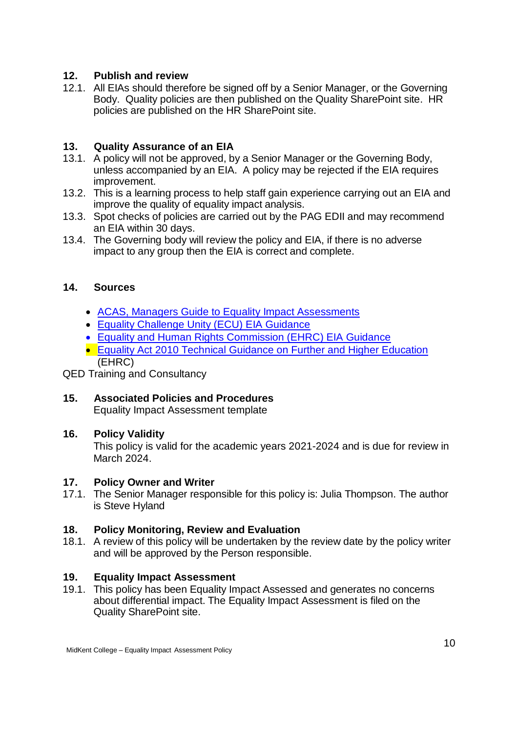### <span id="page-8-0"></span>**12. Publish and review**

12.1. All EIAs should therefore be signed off by a Senior Manager, or the Governing Body. Quality policies are then published on the Quality SharePoint site. HR policies are published on the HR SharePoint site.

### <span id="page-8-1"></span>**13. Quality Assurance of an EIA**

- 13.1. A policy will not be approved, by a Senior Manager or the Governing Body, unless accompanied by an EIA. A policy may be rejected if the EIA requires improvement.
- 13.2. This is a learning process to help staff gain experience carrying out an EIA and improve the quality of equality impact analysis.
- 13.3. Spot checks of policies are carried out by the PAG EDII and may recommend an EIA within 30 days.
- 13.4. The Governing body will review the policy and EIA, if there is no adverse impact to any group then the EIA is correct and complete.

#### <span id="page-8-2"></span>**14. Sources**

- [ACAS, Managers Guide to Equality Impact Assessments](http://www.acas.org.uk/media/pdf/s/n/Acas_managers_guide_to_equality_assessments.pdf)
- [Equality Challenge Unity \(ECU\) EIA Guidance](http://www.ecu.ac.uk/guidance-resources/governance-and-policies/equality-impact-assessment/)
- [Equality and Human Rights Commission \(EHRC\) EIA Guidance](https://www.equalityhumanrights.com/en/advice-and-guidance/equality-impact-assessments)
- [Equality Act 2010 Technical Guidance on Further and Higher Education](https://www.equalityhumanrights.com/sites/default/files/equalityact2010-technicalguidance-feandhe-2015.pdf) (EHRC)

QED Training and Consultancy

### <span id="page-8-3"></span>**15. Associated Policies and Procedures**

Equality Impact Assessment template

#### <span id="page-8-4"></span>**16. Policy Validity**

This policy is valid for the academic years 2021-2024 and is due for review in March 2024.

#### <span id="page-8-5"></span>**17. Policy Owner and Writer**

17.1. The Senior Manager responsible for this policy is: Julia Thompson. The author is Steve Hyland

#### <span id="page-8-6"></span>**18. Policy Monitoring, Review and Evaluation**

18.1. A review of this policy will be undertaken by the review date by the policy writer and will be approved by the Person responsible.

#### <span id="page-8-7"></span>**19. Equality Impact Assessment**

19.1. This policy has been Equality Impact Assessed and generates no concerns about differential impact. The Equality Impact Assessment is filed on the Quality SharePoint site.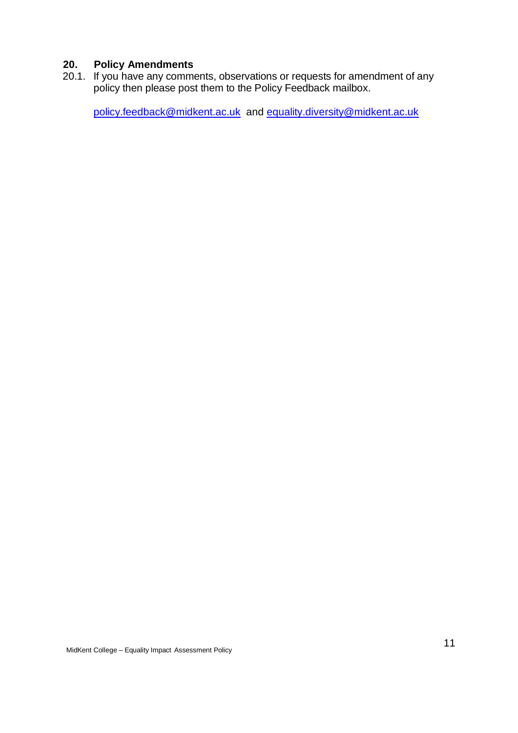### <span id="page-9-0"></span>**20. Policy Amendments**

20.1. If you have any comments, observations or requests for amendment of any policy then please post them to the Policy Feedback mailbox.

<span id="page-9-1"></span>[policy.feedback@midkent.ac.uk](mailto:policy.feedback@midkent.ac.uk) and [equality.diversity@midkent.ac.uk](mailto:equality.diversity@midkent.ac.uk)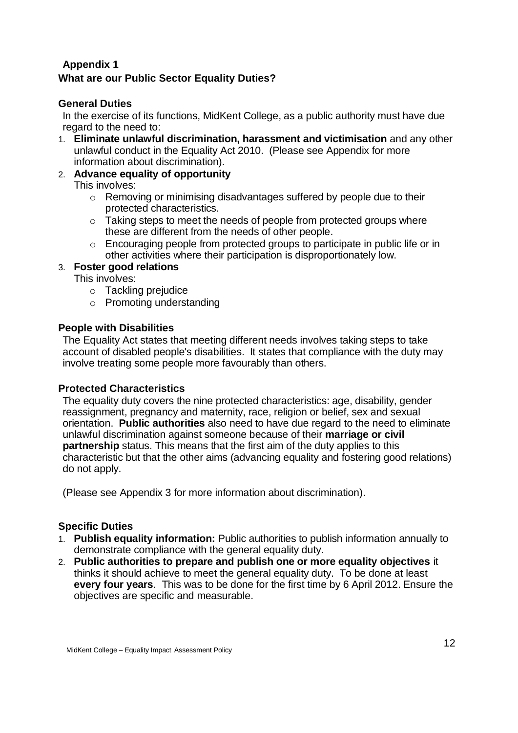### <span id="page-10-1"></span><span id="page-10-0"></span>**Appendix 1 What are our Public Sector Equality Duties?**

### <span id="page-10-2"></span>**General Duties**

In the exercise of its functions, MidKent College, as a public authority must have due regard to the need to:

1. **Eliminate unlawful discrimination, harassment and victimisation** and any other unlawful conduct in the Equality Act 2010. (Please see Appendix for more information about discrimination).

# 2. **Advance equality of opportunity**

This involves:

- o Removing or minimising disadvantages suffered by people due to their protected characteristics.
- $\circ$  Taking steps to meet the needs of people from protected groups where these are different from the needs of other people.
- $\circ$  Encouraging people from protected groups to participate in public life or in other activities where their participation is disproportionately low.

### 3. **Foster good relations**

This involves:

- o Tackling prejudice
- o Promoting understanding

### <span id="page-10-3"></span>**People with Disabilities**

The Equality Act states that meeting different needs involves taking steps to take account of disabled people's disabilities. It states that compliance with the duty may involve treating some people more favourably than others.

### <span id="page-10-4"></span>**Protected Characteristics**

The equality duty covers the nine protected characteristics: age, disability, gender reassignment, pregnancy and maternity, race, religion or belief, sex and sexual orientation. **Public authorities** also need to have due regard to the need to eliminate unlawful discrimination against someone because of their **marriage or civil partnership** status. This means that the first aim of the duty applies to this characteristic but that the other aims (advancing equality and fostering good relations) do not apply.

(Please see Appendix 3 for more information about discrimination).

### <span id="page-10-5"></span>**Specific Duties**

- 1. **Publish equality information:** Public authorities to publish information annually to demonstrate compliance with the general equality duty.
- 2. **Public authorities to prepare and publish one or more equality objectives** it thinks it should achieve to meet the general equality duty. To be done at least **every four years**. This was to be done for the first time by 6 April 2012. Ensure the objectives are specific and measurable.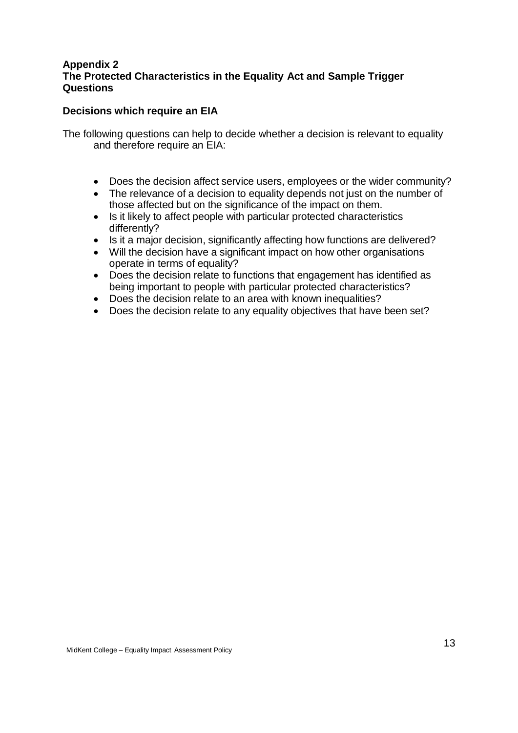#### <span id="page-11-0"></span>**Appendix 2 The Protected Characteristics in the Equality Act and Sample Trigger Questions**

#### **Decisions which require an EIA**

The following questions can help to decide whether a decision is relevant to equality and therefore require an EIA:

- Does the decision affect service users, employees or the wider community?
- The relevance of a decision to equality depends not just on the number of those affected but on the significance of the impact on them.
- Is it likely to affect people with particular protected characteristics differently?
- Is it a major decision, significantly affecting how functions are delivered?
- Will the decision have a significant impact on how other organisations operate in terms of equality?
- Does the decision relate to functions that engagement has identified as being important to people with particular protected characteristics?
- Does the decision relate to an area with known inequalities?
- Does the decision relate to any equality objectives that have been set?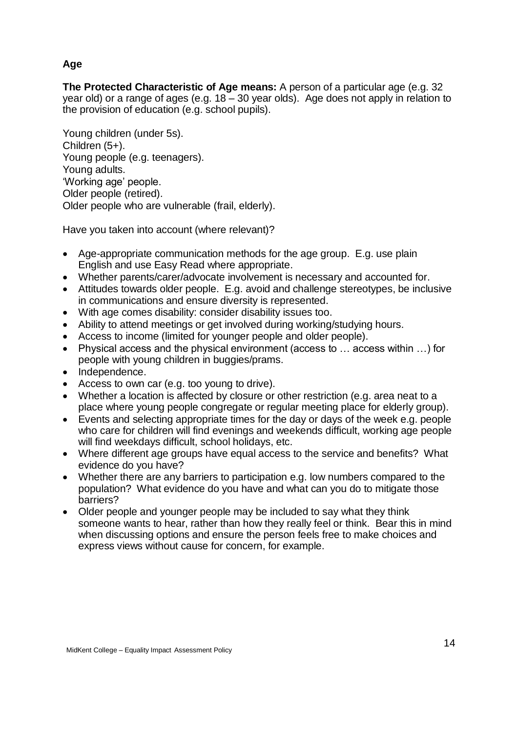### **Age**

**The Protected Characteristic of Age means:** A person of a particular age (e.g. 32 year old) or a range of ages (e.g. 18 – 30 year olds). Age does not apply in relation to the provision of education (e.g. school pupils).

Young children (under 5s). Children (5+). Young people (e.g. teenagers). Young adults. 'Working age' people. Older people (retired). Older people who are vulnerable (frail, elderly).

Have you taken into account (where relevant)?

- Age-appropriate communication methods for the age group. E.g. use plain English and use Easy Read where appropriate.
- Whether parents/carer/advocate involvement is necessary and accounted for.
- Attitudes towards older people. E.g. avoid and challenge stereotypes, be inclusive in communications and ensure diversity is represented.
- With age comes disability: consider disability issues too.
- Ability to attend meetings or get involved during working/studying hours.
- Access to income (limited for younger people and older people).
- Physical access and the physical environment (access to … access within …) for people with young children in buggies/prams.
- Independence.
- Access to own car (e.g. too young to drive).
- Whether a location is affected by closure or other restriction (e.g. area neat to a place where young people congregate or regular meeting place for elderly group).
- Events and selecting appropriate times for the day or days of the week e.g. people who care for children will find evenings and weekends difficult, working age people will find weekdays difficult, school holidays, etc.
- Where different age groups have equal access to the service and benefits? What evidence do you have?
- Whether there are any barriers to participation e.g. low numbers compared to the population? What evidence do you have and what can you do to mitigate those barriers?
- Older people and younger people may be included to say what they think someone wants to hear, rather than how they really feel or think. Bear this in mind when discussing options and ensure the person feels free to make choices and express views without cause for concern, for example.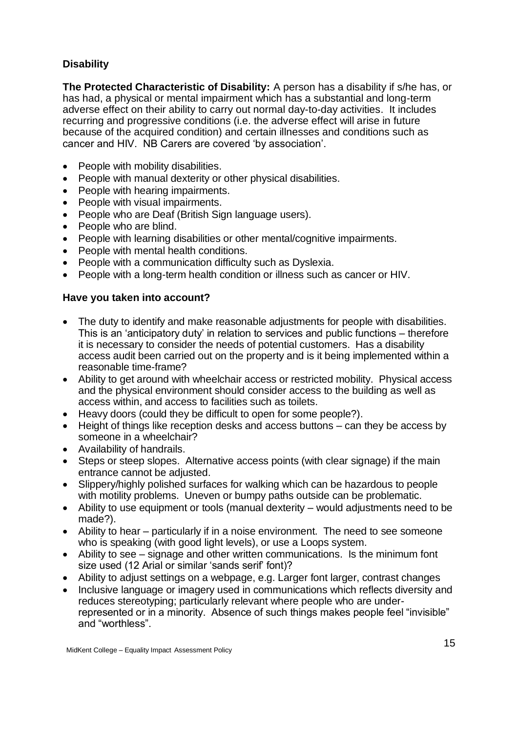### **Disability**

**The Protected Characteristic of Disability:** A person has a disability if s/he has, or has had, a physical or mental impairment which has a substantial and long-term adverse effect on their ability to carry out normal day-to-day activities. It includes recurring and progressive conditions (i.e. the adverse effect will arise in future because of the acquired condition) and certain illnesses and conditions such as cancer and HIV. NB Carers are covered 'by association'.

- People with mobility disabilities.
- People with manual dexterity or other physical disabilities.
- People with hearing impairments.
- People with visual impairments.
- People who are Deaf (British Sign language users).
- People who are blind.
- People with learning disabilities or other mental/cognitive impairments.
- People with mental health conditions.
- People with a communication difficulty such as Dyslexia.
- People with a long-term health condition or illness such as cancer or HIV.

- The duty to identify and make reasonable adiustments for people with disabilities. This is an 'anticipatory duty' in relation to services and public functions – therefore it is necessary to consider the needs of potential customers. Has a disability access audit been carried out on the property and is it being implemented within a reasonable time-frame?
- Ability to get around with wheelchair access or restricted mobility. Physical access and the physical environment should consider access to the building as well as access within, and access to facilities such as toilets.
- Heavy doors (could they be difficult to open for some people?).
- Height of things like reception desks and access buttons can they be access by someone in a wheelchair?
- Availability of handrails.
- Steps or steep slopes. Alternative access points (with clear signage) if the main entrance cannot be adjusted.
- Slippery/highly polished surfaces for walking which can be hazardous to people with motility problems. Uneven or bumpy paths outside can be problematic.
- Ability to use equipment or tools (manual dexterity would adjustments need to be made?).
- Ability to hear particularly if in a noise environment. The need to see someone who is speaking (with good light levels), or use a Loops system.
- Ability to see signage and other written communications. Is the minimum font size used (12 Arial or similar 'sands serif' font)?
- Ability to adjust settings on a webpage, e.g. Larger font larger, contrast changes
- Inclusive language or imagery used in communications which reflects diversity and reduces stereotyping; particularly relevant where people who are underrepresented or in a minority. Absence of such things makes people feel "invisible" and "worthless".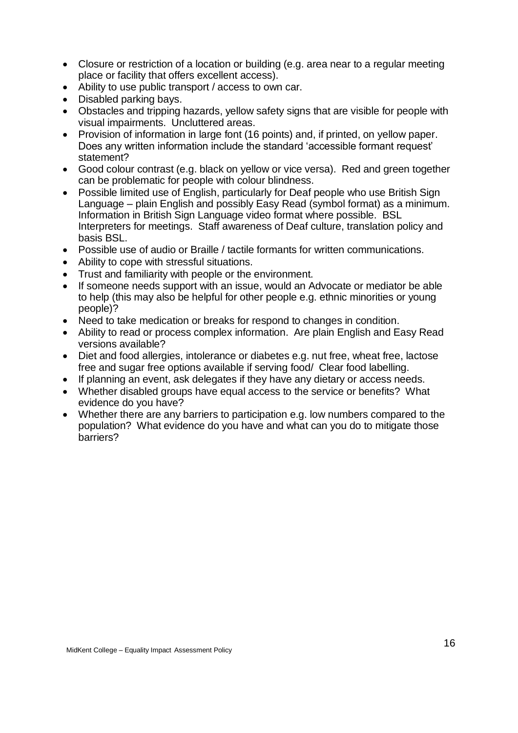- Closure or restriction of a location or building (e.g. area near to a regular meeting place or facility that offers excellent access).
- Ability to use public transport / access to own car.
- Disabled parking bays.
- Obstacles and tripping hazards, yellow safety signs that are visible for people with visual impairments. Uncluttered areas.
- Provision of information in large font (16 points) and, if printed, on yellow paper. Does any written information include the standard 'accessible formant request' statement?
- Good colour contrast (e.g. black on yellow or vice versa). Red and green together can be problematic for people with colour blindness.
- Possible limited use of English, particularly for Deaf people who use British Sign Language – plain English and possibly Easy Read (symbol format) as a minimum. Information in British Sign Language video format where possible. BSL Interpreters for meetings. Staff awareness of Deaf culture, translation policy and basis BSL.
- Possible use of audio or Braille / tactile formants for written communications.
- Ability to cope with stressful situations.
- Trust and familiarity with people or the environment.
- If someone needs support with an issue, would an Advocate or mediator be able to help (this may also be helpful for other people e.g. ethnic minorities or young people)?
- Need to take medication or breaks for respond to changes in condition.
- Ability to read or process complex information. Are plain English and Easy Read versions available?
- Diet and food allergies, intolerance or diabetes e.g. nut free, wheat free, lactose free and sugar free options available if serving food/ Clear food labelling.
- If planning an event, ask delegates if they have any dietary or access needs.
- Whether disabled groups have equal access to the service or benefits? What evidence do you have?
- Whether there are any barriers to participation e.g. low numbers compared to the population? What evidence do you have and what can you do to mitigate those barriers?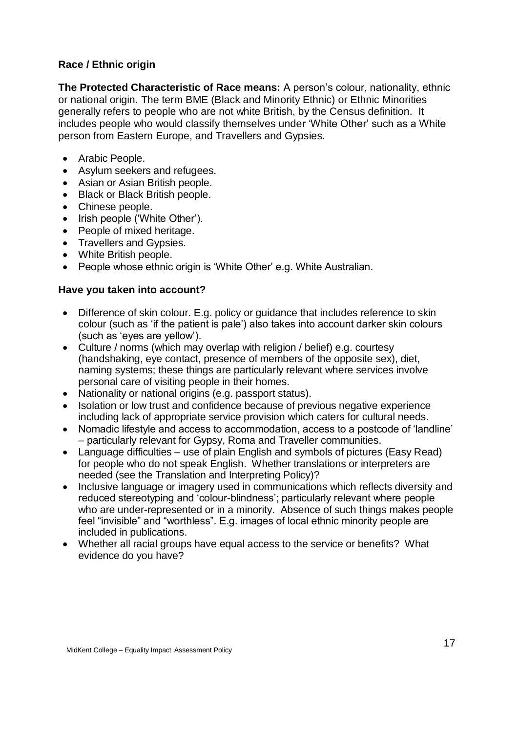### <span id="page-15-0"></span>**Race / Ethnic origin**

**The Protected Characteristic of Race means:** A person's colour, nationality, ethnic or national origin. The term BME (Black and Minority Ethnic) or Ethnic Minorities generally refers to people who are not white British, by the Census definition. It includes people who would classify themselves under 'White Other' such as a White person from Eastern Europe, and Travellers and Gypsies.

- Arabic People.
- Asylum seekers and refugees.
- Asian or Asian British people.
- Black or Black British people.
- Chinese people.
- Irish people ('White Other').
- People of mixed heritage.
- Travellers and Gypsies.
- White British people.
- People whose ethnic origin is 'White Other' e.g. White Australian.

- Difference of skin colour. E.g. policy or guidance that includes reference to skin colour (such as 'if the patient is pale') also takes into account darker skin colours (such as 'eyes are yellow').
- Culture / norms (which may overlap with religion / belief) e.g. courtesy (handshaking, eye contact, presence of members of the opposite sex), diet, naming systems; these things are particularly relevant where services involve personal care of visiting people in their homes.
- Nationality or national origins (e.g. passport status).
- Isolation or low trust and confidence because of previous negative experience including lack of appropriate service provision which caters for cultural needs.
- Nomadic lifestyle and access to accommodation, access to a postcode of 'landline' – particularly relevant for Gypsy, Roma and Traveller communities.
- Language difficulties use of plain English and symbols of pictures (Easy Read) for people who do not speak English. Whether translations or interpreters are needed (see the Translation and Interpreting Policy)?
- Inclusive language or imagery used in communications which reflects diversity and reduced stereotyping and 'colour-blindness'; particularly relevant where people who are under-represented or in a minority. Absence of such things makes people feel "invisible" and "worthless". E.g. images of local ethnic minority people are included in publications.
- Whether all racial groups have equal access to the service or benefits? What evidence do you have?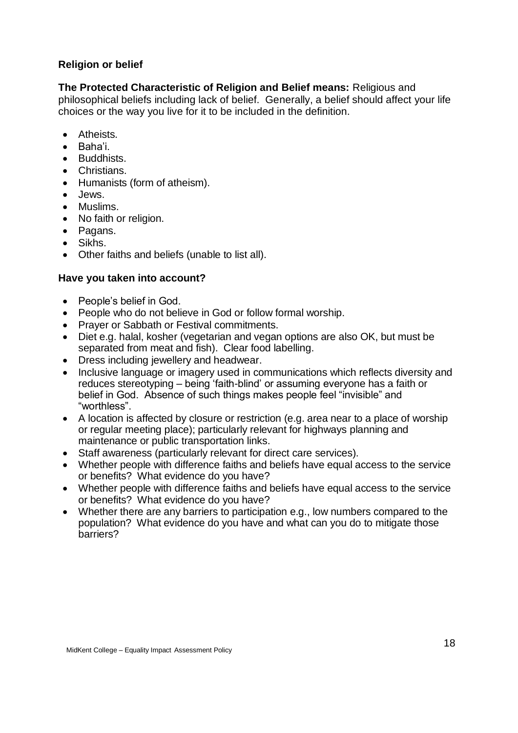### <span id="page-16-0"></span>**Religion or belief**

**The Protected Characteristic of Religion and Belief means:** Religious and philosophical beliefs including lack of belief. Generally, a belief should affect your life choices or the way you live for it to be included in the definition.

- Atheists.
- Baha'i.
- Buddhists.
- Christians.
- Humanists (form of atheism).
- Jews.
- Muslims.
- No faith or religion.
- Pagans.
- Sikhs.
- Other faiths and beliefs (unable to list all).

- People's belief in God.
- People who do not believe in God or follow formal worship.
- Prayer or Sabbath or Festival commitments.
- Diet e.g. halal, kosher (vegetarian and vegan options are also OK, but must be separated from meat and fish). Clear food labelling.
- Dress including jewellery and headwear.
- Inclusive language or imagery used in communications which reflects diversity and reduces stereotyping – being 'faith-blind' or assuming everyone has a faith or belief in God. Absence of such things makes people feel "invisible" and "worthless".
- A location is affected by closure or restriction (e.g. area near to a place of worship or regular meeting place); particularly relevant for highways planning and maintenance or public transportation links.
- Staff awareness (particularly relevant for direct care services).
- Whether people with difference faiths and beliefs have equal access to the service or benefits? What evidence do you have?
- Whether people with difference faiths and beliefs have equal access to the service or benefits? What evidence do you have?
- Whether there are any barriers to participation e.g., low numbers compared to the population? What evidence do you have and what can you do to mitigate those barriers?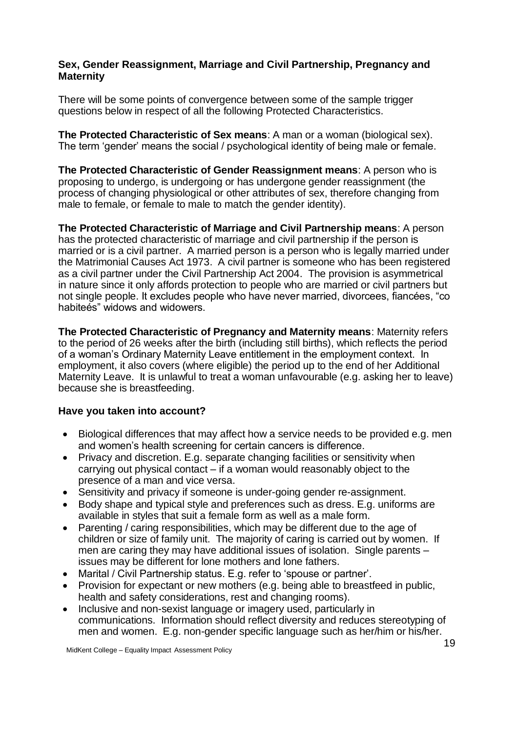#### **Sex, Gender Reassignment, Marriage and Civil Partnership, Pregnancy and Maternity**

There will be some points of convergence between some of the sample trigger questions below in respect of all the following Protected Characteristics.

**The Protected Characteristic of Sex means**: A man or a woman (biological sex). The term 'gender' means the social / psychological identity of being male or female.

**The Protected Characteristic of Gender Reassignment means**: A person who is proposing to undergo, is undergoing or has undergone gender reassignment (the process of changing physiological or other attributes of sex, therefore changing from male to female, or female to male to match the gender identity).

**The Protected Characteristic of Marriage and Civil Partnership means**: A person has the protected characteristic of marriage and civil partnership if the person is married or is a civil partner. A married person is a person who is legally married under the Matrimonial Causes Act 1973. A civil partner is someone who has been registered as a civil partner under the Civil Partnership Act 2004. The provision is asymmetrical in nature since it only affords protection to people who are married or civil partners but not single people. It excludes people who have never married, divorcees, fiancées, "co habiteés" widows and widowers.

**The Protected Characteristic of Pregnancy and Maternity means**: Maternity refers to the period of 26 weeks after the birth (including still births), which reflects the period of a woman's Ordinary Maternity Leave entitlement in the employment context. In employment, it also covers (where eligible) the period up to the end of her Additional Maternity Leave. It is unlawful to treat a woman unfavourable (e.g. asking her to leave) because she is breastfeeding.

- Biological differences that may affect how a service needs to be provided e.g. men and women's health screening for certain cancers is difference.
- Privacy and discretion. E.g. separate changing facilities or sensitivity when carrying out physical contact – if a woman would reasonably object to the presence of a man and vice versa.
- Sensitivity and privacy if someone is under-going gender re-assignment.
- Body shape and typical style and preferences such as dress. E.g. uniforms are available in styles that suit a female form as well as a male form.
- Parenting / caring responsibilities, which may be different due to the age of children or size of family unit. The majority of caring is carried out by women. If men are caring they may have additional issues of isolation. Single parents – issues may be different for lone mothers and lone fathers.
- Marital / Civil Partnership status. E.g. refer to 'spouse or partner'.
- Provision for expectant or new mothers (e.g. being able to breastfeed in public, health and safety considerations, rest and changing rooms).
- Inclusive and non-sexist language or imagery used, particularly in communications. Information should reflect diversity and reduces stereotyping of men and women. E.g. non-gender specific language such as her/him or his/her.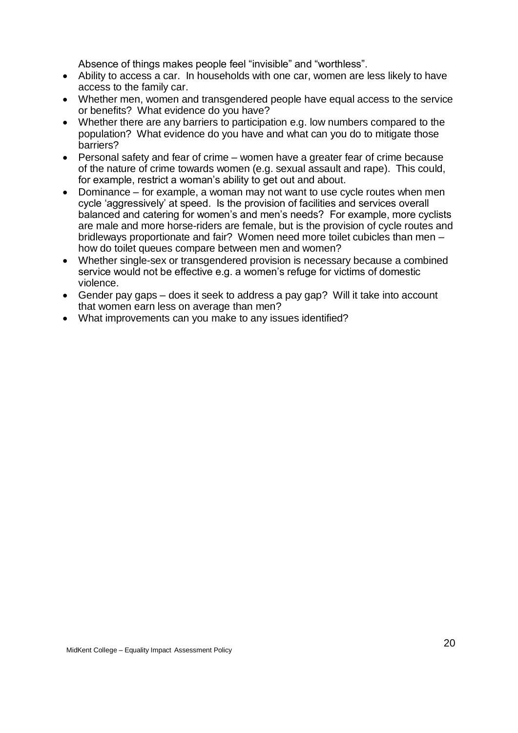Absence of things makes people feel "invisible" and "worthless".

- Ability to access a car. In households with one car, women are less likely to have access to the family car.
- Whether men, women and transgendered people have equal access to the service or benefits? What evidence do you have?
- Whether there are any barriers to participation e.g. low numbers compared to the population? What evidence do you have and what can you do to mitigate those barriers?
- Personal safety and fear of crime women have a greater fear of crime because of the nature of crime towards women (e.g. sexual assault and rape). This could, for example, restrict a woman's ability to get out and about.
- Dominance for example, a woman may not want to use cycle routes when men cycle 'aggressively' at speed. Is the provision of facilities and services overall balanced and catering for women's and men's needs? For example, more cyclists are male and more horse-riders are female, but is the provision of cycle routes and bridleways proportionate and fair? Women need more toilet cubicles than men – how do toilet queues compare between men and women?
- Whether single-sex or transgendered provision is necessary because a combined service would not be effective e.g. a women's refuge for victims of domestic violence.
- Gender pay gaps does it seek to address a pay gap? Will it take into account that women earn less on average than men?
- What improvements can you make to any issues identified?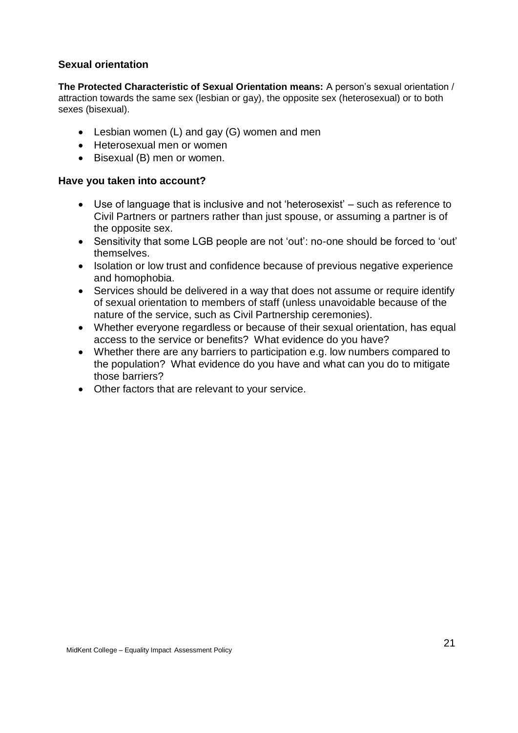#### <span id="page-19-0"></span>**Sexual orientation**

**The Protected Characteristic of Sexual Orientation means:** A person's sexual orientation / attraction towards the same sex (lesbian or gay), the opposite sex (heterosexual) or to both sexes (bisexual).

- Lesbian women (L) and gay (G) women and men
- Heterosexual men or women
- Bisexual (B) men or women.

- Use of language that is inclusive and not 'heterosexist' such as reference to Civil Partners or partners rather than just spouse, or assuming a partner is of the opposite sex.
- Sensitivity that some LGB people are not 'out': no-one should be forced to 'out' themselves.
- Isolation or low trust and confidence because of previous negative experience and homophobia.
- Services should be delivered in a way that does not assume or require identify of sexual orientation to members of staff (unless unavoidable because of the nature of the service, such as Civil Partnership ceremonies).
- Whether everyone regardless or because of their sexual orientation, has equal access to the service or benefits? What evidence do you have?
- Whether there are any barriers to participation e.g. low numbers compared to the population? What evidence do you have and what can you do to mitigate those barriers?
- Other factors that are relevant to your service.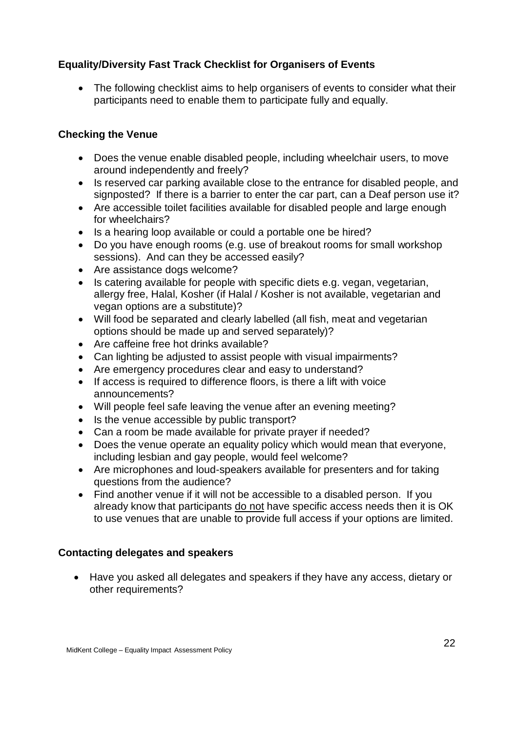### <span id="page-20-0"></span>**Equality/Diversity Fast Track Checklist for Organisers of Events**

• The following checklist aims to help organisers of events to consider what their participants need to enable them to participate fully and equally.

### **Checking the Venue**

- Does the venue enable disabled people, including wheelchair users, to move around independently and freely?
- Is reserved car parking available close to the entrance for disabled people, and signposted? If there is a barrier to enter the car part, can a Deaf person use it?
- Are accessible toilet facilities available for disabled people and large enough for wheelchairs?
- Is a hearing loop available or could a portable one be hired?
- Do you have enough rooms (e.g. use of breakout rooms for small workshop sessions). And can they be accessed easily?
- Are assistance dogs welcome?
- Is catering available for people with specific diets e.g. vegan, vegetarian, allergy free, Halal, Kosher (if Halal / Kosher is not available, vegetarian and vegan options are a substitute)?
- Will food be separated and clearly labelled (all fish, meat and vegetarian options should be made up and served separately)?
- Are caffeine free hot drinks available?
- Can lighting be adjusted to assist people with visual impairments?
- Are emergency procedures clear and easy to understand?
- If access is required to difference floors, is there a lift with voice announcements?
- Will people feel safe leaving the venue after an evening meeting?
- Is the venue accessible by public transport?
- Can a room be made available for private prayer if needed?
- Does the venue operate an equality policy which would mean that everyone, including lesbian and gay people, would feel welcome?
- Are microphones and loud-speakers available for presenters and for taking questions from the audience?
- Find another venue if it will not be accessible to a disabled person. If you already know that participants do not have specific access needs then it is OK to use venues that are unable to provide full access if your options are limited.

### **Contacting delegates and speakers**

• Have you asked all delegates and speakers if they have any access, dietary or other requirements?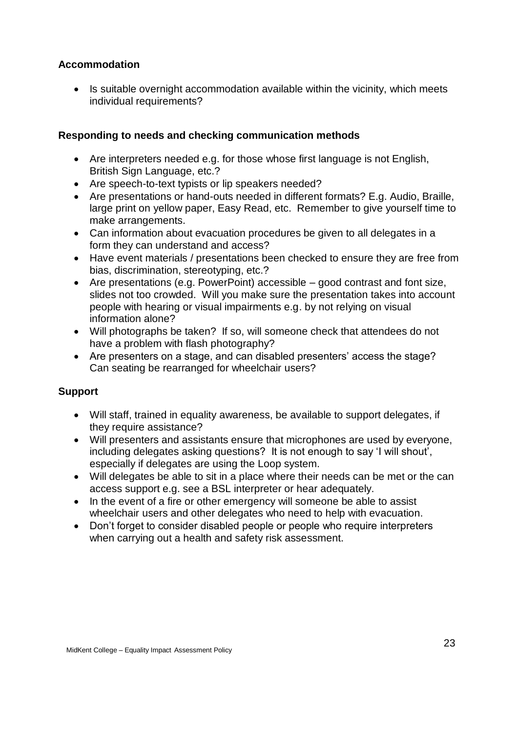### **Accommodation**

• Is suitable overnight accommodation available within the vicinity, which meets individual requirements?

### **Responding to needs and checking communication methods**

- Are interpreters needed e.g. for those whose first language is not English, British Sign Language, etc.?
- Are speech-to-text typists or lip speakers needed?
- Are presentations or hand-outs needed in different formats? E.g. Audio, Braille, large print on yellow paper, Easy Read, etc. Remember to give yourself time to make arrangements.
- Can information about evacuation procedures be given to all delegates in a form they can understand and access?
- Have event materials / presentations been checked to ensure they are free from bias, discrimination, stereotyping, etc.?
- Are presentations (e.g. PowerPoint) accessible good contrast and font size, slides not too crowded. Will you make sure the presentation takes into account people with hearing or visual impairments e.g. by not relying on visual information alone?
- Will photographs be taken? If so, will someone check that attendees do not have a problem with flash photography?
- Are presenters on a stage, and can disabled presenters' access the stage? Can seating be rearranged for wheelchair users?

### **Support**

- Will staff, trained in equality awareness, be available to support delegates, if they require assistance?
- Will presenters and assistants ensure that microphones are used by everyone, including delegates asking questions? It is not enough to say 'I will shout', especially if delegates are using the Loop system.
- Will delegates be able to sit in a place where their needs can be met or the can access support e.g. see a BSL interpreter or hear adequately.
- In the event of a fire or other emergency will someone be able to assist wheelchair users and other delegates who need to help with evacuation.
- Don't forget to consider disabled people or people who require interpreters when carrying out a health and safety risk assessment.